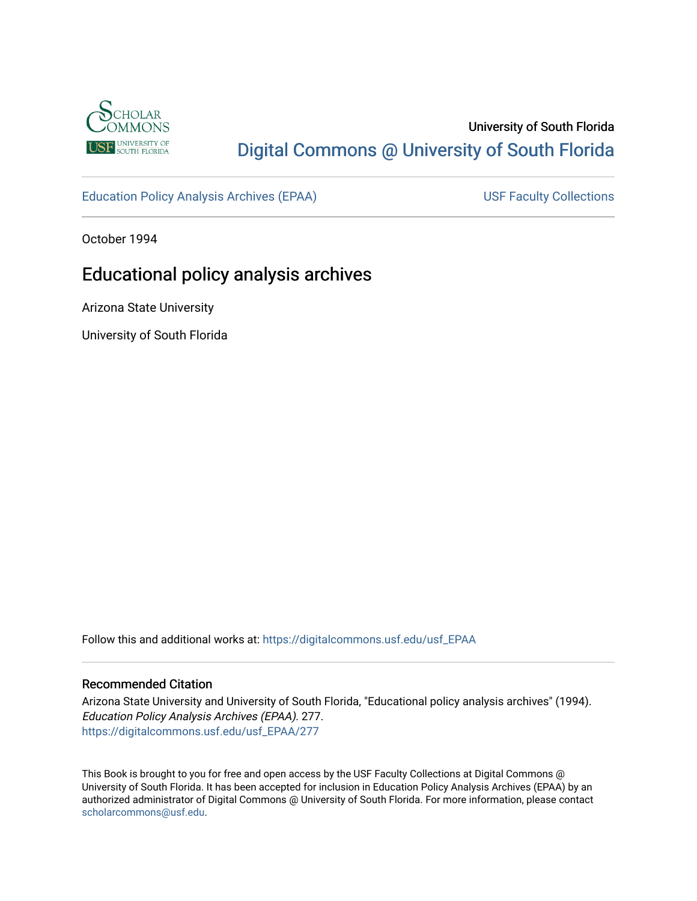

# University of South Florida [Digital Commons @ University of South Florida](https://digitalcommons.usf.edu/)

[Education Policy Analysis Archives \(EPAA\)](https://digitalcommons.usf.edu/usf_EPAA) USF Faculty Collections

October 1994

# Educational policy analysis archives

Arizona State University

University of South Florida

Follow this and additional works at: [https://digitalcommons.usf.edu/usf\\_EPAA](https://digitalcommons.usf.edu/usf_EPAA?utm_source=digitalcommons.usf.edu%2Fusf_EPAA%2F277&utm_medium=PDF&utm_campaign=PDFCoverPages)

#### Recommended Citation

Arizona State University and University of South Florida, "Educational policy analysis archives" (1994). Education Policy Analysis Archives (EPAA). 277. [https://digitalcommons.usf.edu/usf\\_EPAA/277](https://digitalcommons.usf.edu/usf_EPAA/277?utm_source=digitalcommons.usf.edu%2Fusf_EPAA%2F277&utm_medium=PDF&utm_campaign=PDFCoverPages)

This Book is brought to you for free and open access by the USF Faculty Collections at Digital Commons @ University of South Florida. It has been accepted for inclusion in Education Policy Analysis Archives (EPAA) by an authorized administrator of Digital Commons @ University of South Florida. For more information, please contact [scholarcommons@usf.edu.](mailto:scholarcommons@usf.edu)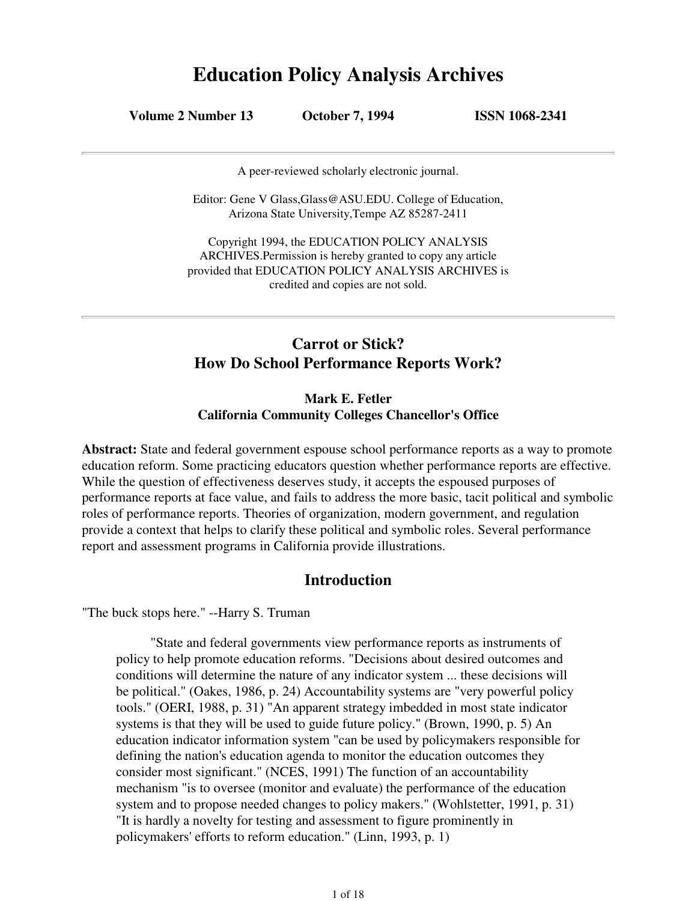# **Education Policy Analysis Archives**

**Volume 2 Number 13 October 7, 1994 ISSN 1068-2341**

A peer-reviewed scholarly electronic journal.

Editor: Gene V Glass,Glass@ASU.EDU. College of Education, Arizona State University,Tempe AZ 85287-2411

Copyright 1994, the EDUCATION POLICY ANALYSIS ARCHIVES.Permission is hereby granted to copy any article provided that EDUCATION POLICY ANALYSIS ARCHIVES is credited and copies are not sold.

# **Carrot or Stick? How Do School Performance Reports Work?**

## **Mark E. Fetler California Community Colleges Chancellor's Office**

**Abstract:** State and federal government espouse school performance reports as a way to promote education reform. Some practicing educators question whether performance reports are effective. While the question of effectiveness deserves study, it accepts the espoused purposes of performance reports at face value, and fails to address the more basic, tacit political and symbolic roles of performance reports. Theories of organization, modern government, and regulation provide a context that helps to clarify these political and symbolic roles. Several performance report and assessment programs in California provide illustrations.

# **Introduction**

"The buck stops here." --Harry S. Truman

"State and federal governments view performance reports as instruments of policy to help promote education reforms. "Decisions about desired outcomes and conditions will determine the nature of any indicator system ... these decisions will be political." (Oakes, 1986, p. 24) Accountability systems are "very powerful policy tools." (OERI, 1988, p. 31) "An apparent strategy imbedded in most state indicator systems is that they will be used to guide future policy." (Brown, 1990, p. 5) An education indicator information system "can be used by policymakers responsible for defining the nation's education agenda to monitor the education outcomes they consider most significant." (NCES, 1991) The function of an accountability mechanism "is to oversee (monitor and evaluate) the performance of the education system and to propose needed changes to policy makers." (Wohlstetter, 1991, p. 31) "It is hardly a novelty for testing and assessment to figure prominently in policymakers' efforts to reform education." (Linn, 1993, p. 1)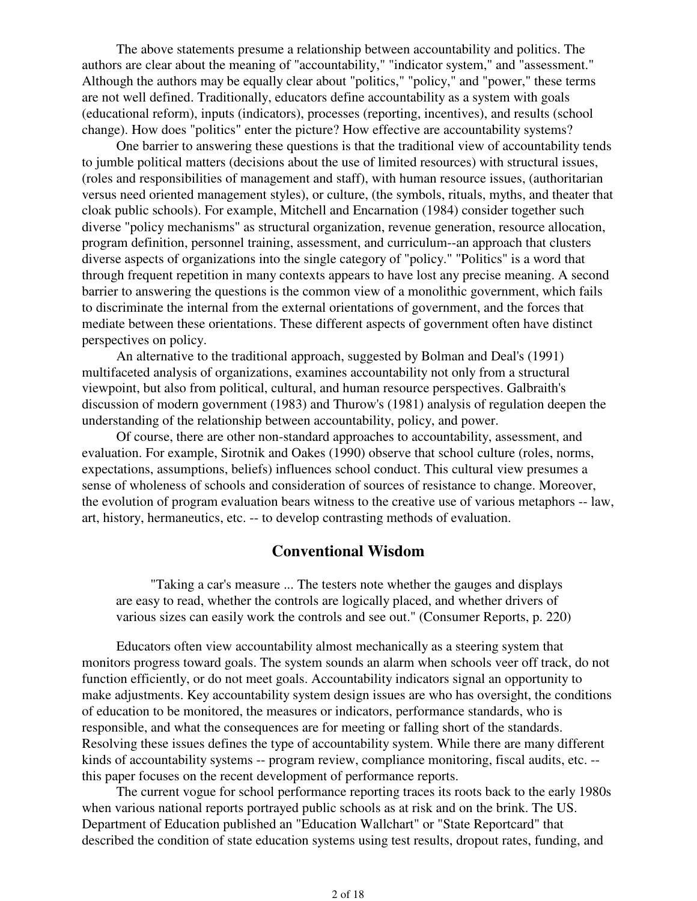The above statements presume a relationship between accountability and politics. The authors are clear about the meaning of "accountability," "indicator system," and "assessment." Although the authors may be equally clear about "politics," "policy," and "power," these terms are not well defined. Traditionally, educators define accountability as a system with goals (educational reform), inputs (indicators), processes (reporting, incentives), and results (school change). How does "politics" enter the picture? How effective are accountability systems?

One barrier to answering these questions is that the traditional view of accountability tends to jumble political matters (decisions about the use of limited resources) with structural issues, (roles and responsibilities of management and staff), with human resource issues, (authoritarian versus need oriented management styles), or culture, (the symbols, rituals, myths, and theater that cloak public schools). For example, Mitchell and Encarnation (1984) consider together such diverse "policy mechanisms" as structural organization, revenue generation, resource allocation, program definition, personnel training, assessment, and curriculum--an approach that clusters diverse aspects of organizations into the single category of "policy." "Politics" is a word that through frequent repetition in many contexts appears to have lost any precise meaning. A second barrier to answering the questions is the common view of a monolithic government, which fails to discriminate the internal from the external orientations of government, and the forces that mediate between these orientations. These different aspects of government often have distinct perspectives on policy.

An alternative to the traditional approach, suggested by Bolman and Deal's (1991) multifaceted analysis of organizations, examines accountability not only from a structural viewpoint, but also from political, cultural, and human resource perspectives. Galbraith's discussion of modern government (1983) and Thurow's (1981) analysis of regulation deepen the understanding of the relationship between accountability, policy, and power.

Of course, there are other non-standard approaches to accountability, assessment, and evaluation. For example, Sirotnik and Oakes (1990) observe that school culture (roles, norms, expectations, assumptions, beliefs) influences school conduct. This cultural view presumes a sense of wholeness of schools and consideration of sources of resistance to change. Moreover, the evolution of program evaluation bears witness to the creative use of various metaphors -- law, art, history, hermaneutics, etc. -- to develop contrasting methods of evaluation.

## **Conventional Wisdom**

"Taking a car's measure ... The testers note whether the gauges and displays are easy to read, whether the controls are logically placed, and whether drivers of various sizes can easily work the controls and see out." (Consumer Reports, p. 220)

Educators often view accountability almost mechanically as a steering system that monitors progress toward goals. The system sounds an alarm when schools veer off track, do not function efficiently, or do not meet goals. Accountability indicators signal an opportunity to make adjustments. Key accountability system design issues are who has oversight, the conditions of education to be monitored, the measures or indicators, performance standards, who is responsible, and what the consequences are for meeting or falling short of the standards. Resolving these issues defines the type of accountability system. While there are many different kinds of accountability systems -- program review, compliance monitoring, fiscal audits, etc. - this paper focuses on the recent development of performance reports.

The current vogue for school performance reporting traces its roots back to the early 1980s when various national reports portrayed public schools as at risk and on the brink. The US. Department of Education published an "Education Wallchart" or "State Reportcard" that described the condition of state education systems using test results, dropout rates, funding, and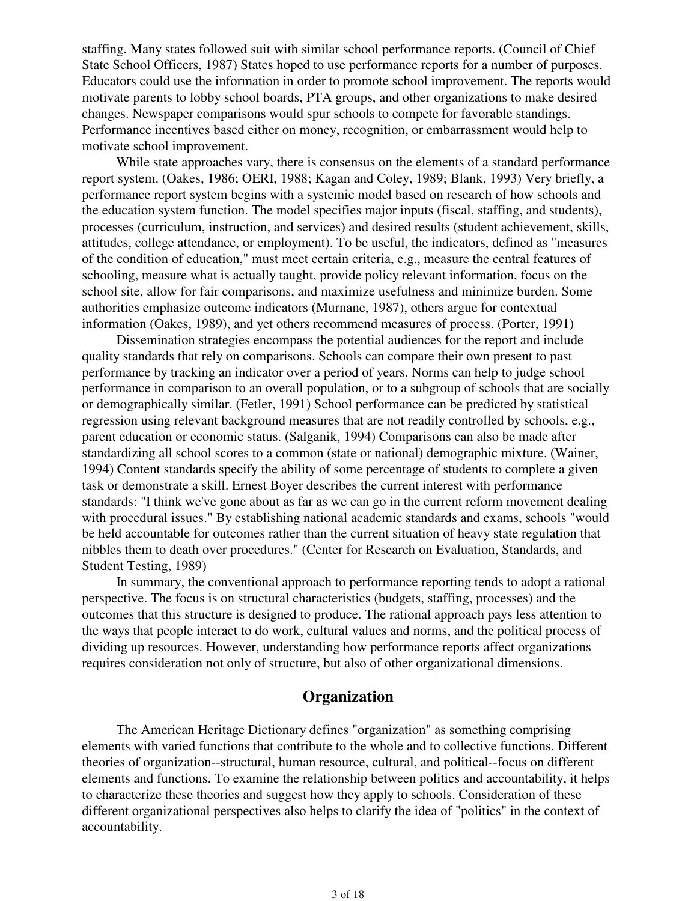staffing. Many states followed suit with similar school performance reports. (Council of Chief State School Officers, 1987) States hoped to use performance reports for a number of purposes. Educators could use the information in order to promote school improvement. The reports would motivate parents to lobby school boards, PTA groups, and other organizations to make desired changes. Newspaper comparisons would spur schools to compete for favorable standings. Performance incentives based either on money, recognition, or embarrassment would help to motivate school improvement.

While state approaches vary, there is consensus on the elements of a standard performance report system. (Oakes, 1986; OERI, 1988; Kagan and Coley, 1989; Blank, 1993) Very briefly, a performance report system begins with a systemic model based on research of how schools and the education system function. The model specifies major inputs (fiscal, staffing, and students), processes (curriculum, instruction, and services) and desired results (student achievement, skills, attitudes, college attendance, or employment). To be useful, the indicators, defined as "measures of the condition of education," must meet certain criteria, e.g., measure the central features of schooling, measure what is actually taught, provide policy relevant information, focus on the school site, allow for fair comparisons, and maximize usefulness and minimize burden. Some authorities emphasize outcome indicators (Murnane, 1987), others argue for contextual information (Oakes, 1989), and yet others recommend measures of process. (Porter, 1991)

Dissemination strategies encompass the potential audiences for the report and include quality standards that rely on comparisons. Schools can compare their own present to past performance by tracking an indicator over a period of years. Norms can help to judge school performance in comparison to an overall population, or to a subgroup of schools that are socially or demographically similar. (Fetler, 1991) School performance can be predicted by statistical regression using relevant background measures that are not readily controlled by schools, e.g., parent education or economic status. (Salganik, 1994) Comparisons can also be made after standardizing all school scores to a common (state or national) demographic mixture. (Wainer, 1994) Content standards specify the ability of some percentage of students to complete a given task or demonstrate a skill. Ernest Boyer describes the current interest with performance standards: "I think we've gone about as far as we can go in the current reform movement dealing with procedural issues." By establishing national academic standards and exams, schools "would be held accountable for outcomes rather than the current situation of heavy state regulation that nibbles them to death over procedures." (Center for Research on Evaluation, Standards, and Student Testing, 1989)

In summary, the conventional approach to performance reporting tends to adopt a rational perspective. The focus is on structural characteristics (budgets, staffing, processes) and the outcomes that this structure is designed to produce. The rational approach pays less attention to the ways that people interact to do work, cultural values and norms, and the political process of dividing up resources. However, understanding how performance reports affect organizations requires consideration not only of structure, but also of other organizational dimensions.

# **Organization**

The American Heritage Dictionary defines "organization" as something comprising elements with varied functions that contribute to the whole and to collective functions. Different theories of organization--structural, human resource, cultural, and political--focus on different elements and functions. To examine the relationship between politics and accountability, it helps to characterize these theories and suggest how they apply to schools. Consideration of these different organizational perspectives also helps to clarify the idea of "politics" in the context of accountability.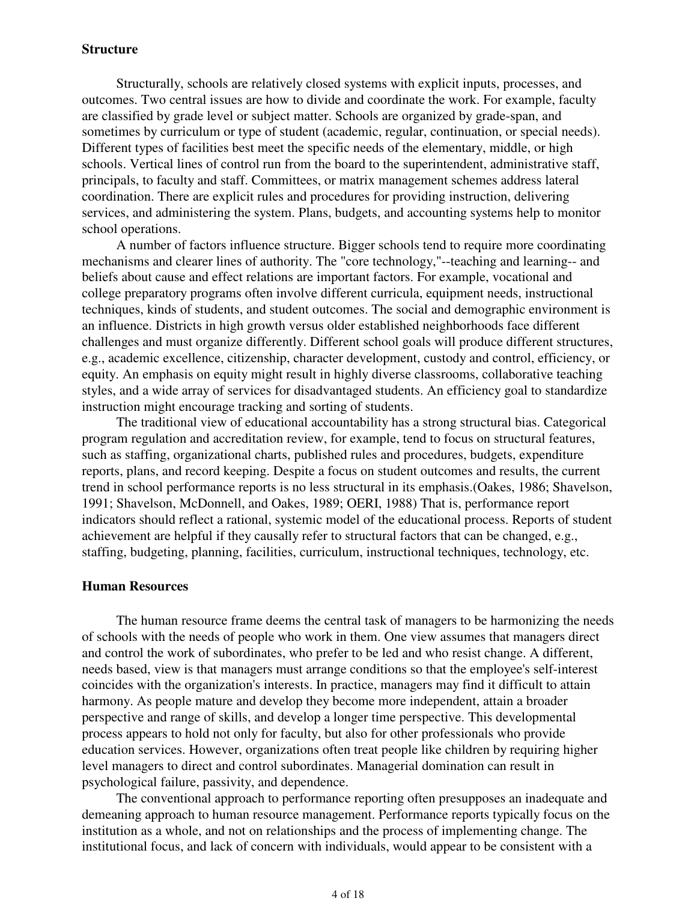#### **Structure**

Structurally, schools are relatively closed systems with explicit inputs, processes, and outcomes. Two central issues are how to divide and coordinate the work. For example, faculty are classified by grade level or subject matter. Schools are organized by grade-span, and sometimes by curriculum or type of student (academic, regular, continuation, or special needs). Different types of facilities best meet the specific needs of the elementary, middle, or high schools. Vertical lines of control run from the board to the superintendent, administrative staff, principals, to faculty and staff. Committees, or matrix management schemes address lateral coordination. There are explicit rules and procedures for providing instruction, delivering services, and administering the system. Plans, budgets, and accounting systems help to monitor school operations.

A number of factors influence structure. Bigger schools tend to require more coordinating mechanisms and clearer lines of authority. The "core technology,"--teaching and learning-- and beliefs about cause and effect relations are important factors. For example, vocational and college preparatory programs often involve different curricula, equipment needs, instructional techniques, kinds of students, and student outcomes. The social and demographic environment is an influence. Districts in high growth versus older established neighborhoods face different challenges and must organize differently. Different school goals will produce different structures, e.g., academic excellence, citizenship, character development, custody and control, efficiency, or equity. An emphasis on equity might result in highly diverse classrooms, collaborative teaching styles, and a wide array of services for disadvantaged students. An efficiency goal to standardize instruction might encourage tracking and sorting of students.

The traditional view of educational accountability has a strong structural bias. Categorical program regulation and accreditation review, for example, tend to focus on structural features, such as staffing, organizational charts, published rules and procedures, budgets, expenditure reports, plans, and record keeping. Despite a focus on student outcomes and results, the current trend in school performance reports is no less structural in its emphasis.(Oakes, 1986; Shavelson, 1991; Shavelson, McDonnell, and Oakes, 1989; OERI, 1988) That is, performance report indicators should reflect a rational, systemic model of the educational process. Reports of student achievement are helpful if they causally refer to structural factors that can be changed, e.g., staffing, budgeting, planning, facilities, curriculum, instructional techniques, technology, etc.

#### **Human Resources**

The human resource frame deems the central task of managers to be harmonizing the needs of schools with the needs of people who work in them. One view assumes that managers direct and control the work of subordinates, who prefer to be led and who resist change. A different, needs based, view is that managers must arrange conditions so that the employee's self-interest coincides with the organization's interests. In practice, managers may find it difficult to attain harmony. As people mature and develop they become more independent, attain a broader perspective and range of skills, and develop a longer time perspective. This developmental process appears to hold not only for faculty, but also for other professionals who provide education services. However, organizations often treat people like children by requiring higher level managers to direct and control subordinates. Managerial domination can result in psychological failure, passivity, and dependence.

The conventional approach to performance reporting often presupposes an inadequate and demeaning approach to human resource management. Performance reports typically focus on the institution as a whole, and not on relationships and the process of implementing change. The institutional focus, and lack of concern with individuals, would appear to be consistent with a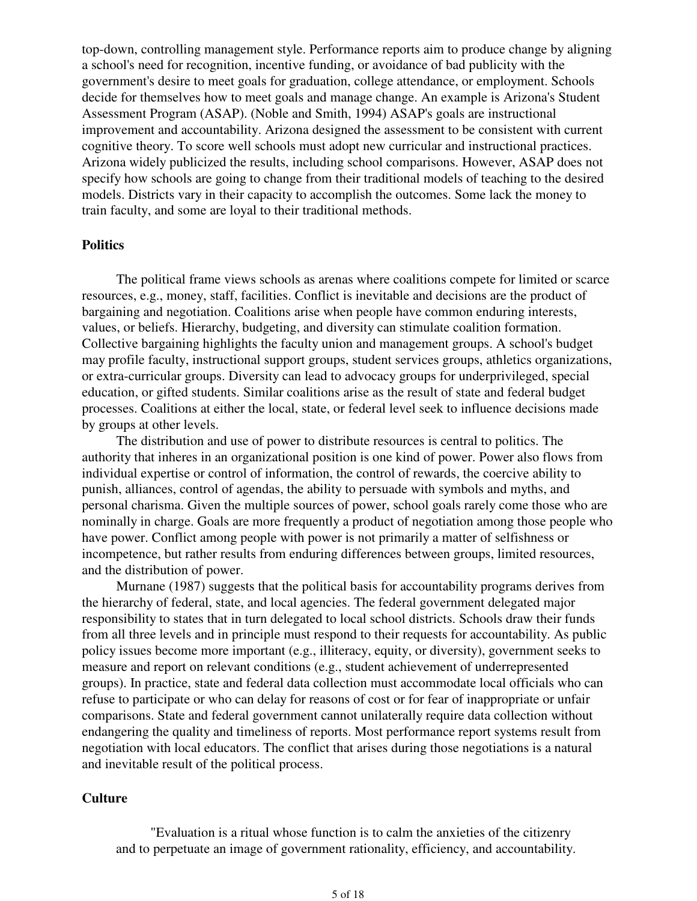top-down, controlling management style. Performance reports aim to produce change by aligning a school's need for recognition, incentive funding, or avoidance of bad publicity with the government's desire to meet goals for graduation, college attendance, or employment. Schools decide for themselves how to meet goals and manage change. An example is Arizona's Student Assessment Program (ASAP). (Noble and Smith, 1994) ASAP's goals are instructional improvement and accountability. Arizona designed the assessment to be consistent with current cognitive theory. To score well schools must adopt new curricular and instructional practices. Arizona widely publicized the results, including school comparisons. However, ASAP does not specify how schools are going to change from their traditional models of teaching to the desired models. Districts vary in their capacity to accomplish the outcomes. Some lack the money to train faculty, and some are loyal to their traditional methods.

#### **Politics**

The political frame views schools as arenas where coalitions compete for limited or scarce resources, e.g., money, staff, facilities. Conflict is inevitable and decisions are the product of bargaining and negotiation. Coalitions arise when people have common enduring interests, values, or beliefs. Hierarchy, budgeting, and diversity can stimulate coalition formation. Collective bargaining highlights the faculty union and management groups. A school's budget may profile faculty, instructional support groups, student services groups, athletics organizations, or extra-curricular groups. Diversity can lead to advocacy groups for underprivileged, special education, or gifted students. Similar coalitions arise as the result of state and federal budget processes. Coalitions at either the local, state, or federal level seek to influence decisions made by groups at other levels.

The distribution and use of power to distribute resources is central to politics. The authority that inheres in an organizational position is one kind of power. Power also flows from individual expertise or control of information, the control of rewards, the coercive ability to punish, alliances, control of agendas, the ability to persuade with symbols and myths, and personal charisma. Given the multiple sources of power, school goals rarely come those who are nominally in charge. Goals are more frequently a product of negotiation among those people who have power. Conflict among people with power is not primarily a matter of selfishness or incompetence, but rather results from enduring differences between groups, limited resources, and the distribution of power.

Murnane (1987) suggests that the political basis for accountability programs derives from the hierarchy of federal, state, and local agencies. The federal government delegated major responsibility to states that in turn delegated to local school districts. Schools draw their funds from all three levels and in principle must respond to their requests for accountability. As public policy issues become more important (e.g., illiteracy, equity, or diversity), government seeks to measure and report on relevant conditions (e.g., student achievement of underrepresented groups). In practice, state and federal data collection must accommodate local officials who can refuse to participate or who can delay for reasons of cost or for fear of inappropriate or unfair comparisons. State and federal government cannot unilaterally require data collection without endangering the quality and timeliness of reports. Most performance report systems result from negotiation with local educators. The conflict that arises during those negotiations is a natural and inevitable result of the political process.

#### **Culture**

"Evaluation is a ritual whose function is to calm the anxieties of the citizenry and to perpetuate an image of government rationality, efficiency, and accountability.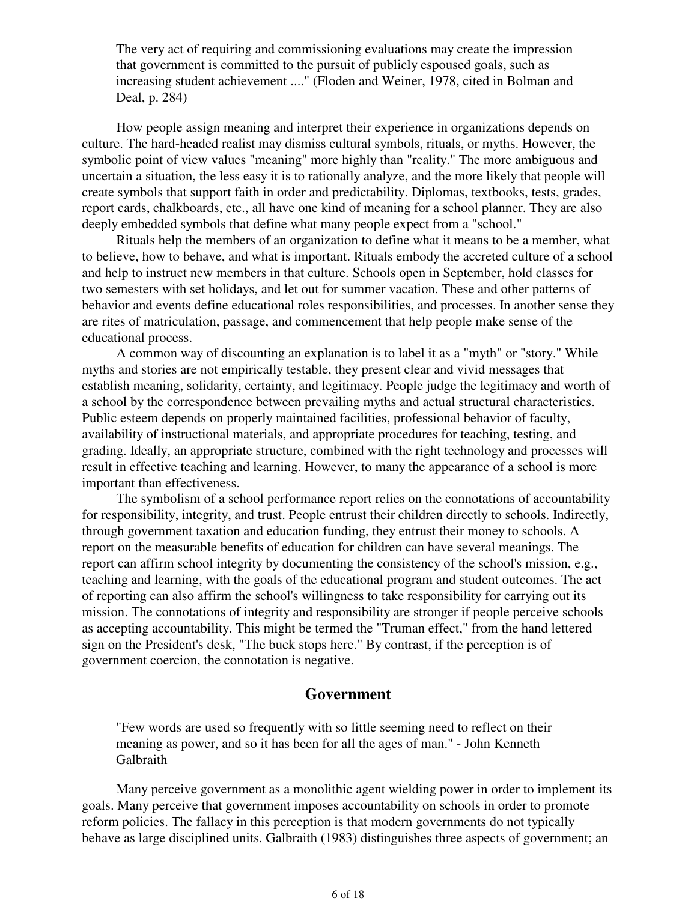The very act of requiring and commissioning evaluations may create the impression that government is committed to the pursuit of publicly espoused goals, such as increasing student achievement ...." (Floden and Weiner, 1978, cited in Bolman and Deal, p. 284)

How people assign meaning and interpret their experience in organizations depends on culture. The hard-headed realist may dismiss cultural symbols, rituals, or myths. However, the symbolic point of view values "meaning" more highly than "reality." The more ambiguous and uncertain a situation, the less easy it is to rationally analyze, and the more likely that people will create symbols that support faith in order and predictability. Diplomas, textbooks, tests, grades, report cards, chalkboards, etc., all have one kind of meaning for a school planner. They are also deeply embedded symbols that define what many people expect from a "school."

Rituals help the members of an organization to define what it means to be a member, what to believe, how to behave, and what is important. Rituals embody the accreted culture of a school and help to instruct new members in that culture. Schools open in September, hold classes for two semesters with set holidays, and let out for summer vacation. These and other patterns of behavior and events define educational roles responsibilities, and processes. In another sense they are rites of matriculation, passage, and commencement that help people make sense of the educational process.

A common way of discounting an explanation is to label it as a "myth" or "story." While myths and stories are not empirically testable, they present clear and vivid messages that establish meaning, solidarity, certainty, and legitimacy. People judge the legitimacy and worth of a school by the correspondence between prevailing myths and actual structural characteristics. Public esteem depends on properly maintained facilities, professional behavior of faculty, availability of instructional materials, and appropriate procedures for teaching, testing, and grading. Ideally, an appropriate structure, combined with the right technology and processes will result in effective teaching and learning. However, to many the appearance of a school is more important than effectiveness.

The symbolism of a school performance report relies on the connotations of accountability for responsibility, integrity, and trust. People entrust their children directly to schools. Indirectly, through government taxation and education funding, they entrust their money to schools. A report on the measurable benefits of education for children can have several meanings. The report can affirm school integrity by documenting the consistency of the school's mission, e.g., teaching and learning, with the goals of the educational program and student outcomes. The act of reporting can also affirm the school's willingness to take responsibility for carrying out its mission. The connotations of integrity and responsibility are stronger if people perceive schools as accepting accountability. This might be termed the "Truman effect," from the hand lettered sign on the President's desk, "The buck stops here." By contrast, if the perception is of government coercion, the connotation is negative.

## **Government**

"Few words are used so frequently with so little seeming need to reflect on their meaning as power, and so it has been for all the ages of man." - John Kenneth Galbraith

Many perceive government as a monolithic agent wielding power in order to implement its goals. Many perceive that government imposes accountability on schools in order to promote reform policies. The fallacy in this perception is that modern governments do not typically behave as large disciplined units. Galbraith (1983) distinguishes three aspects of government; an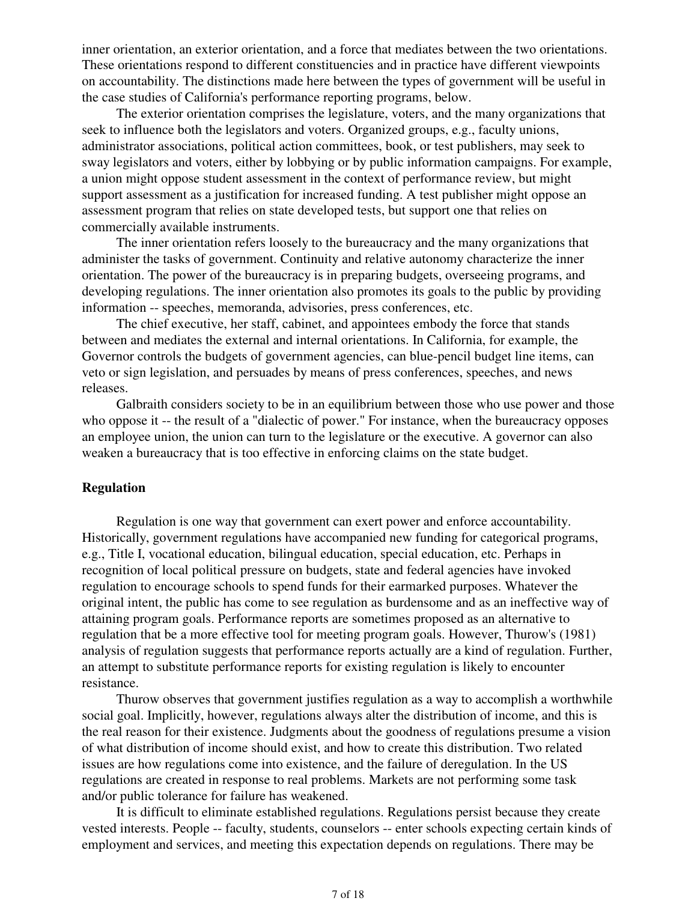inner orientation, an exterior orientation, and a force that mediates between the two orientations. These orientations respond to different constituencies and in practice have different viewpoints on accountability. The distinctions made here between the types of government will be useful in the case studies of California's performance reporting programs, below.

The exterior orientation comprises the legislature, voters, and the many organizations that seek to influence both the legislators and voters. Organized groups, e.g., faculty unions, administrator associations, political action committees, book, or test publishers, may seek to sway legislators and voters, either by lobbying or by public information campaigns. For example, a union might oppose student assessment in the context of performance review, but might support assessment as a justification for increased funding. A test publisher might oppose an assessment program that relies on state developed tests, but support one that relies on commercially available instruments.

The inner orientation refers loosely to the bureaucracy and the many organizations that administer the tasks of government. Continuity and relative autonomy characterize the inner orientation. The power of the bureaucracy is in preparing budgets, overseeing programs, and developing regulations. The inner orientation also promotes its goals to the public by providing information -- speeches, memoranda, advisories, press conferences, etc.

The chief executive, her staff, cabinet, and appointees embody the force that stands between and mediates the external and internal orientations. In California, for example, the Governor controls the budgets of government agencies, can blue-pencil budget line items, can veto or sign legislation, and persuades by means of press conferences, speeches, and news releases.

Galbraith considers society to be in an equilibrium between those who use power and those who oppose it -- the result of a "dialectic of power." For instance, when the bureaucracy opposes an employee union, the union can turn to the legislature or the executive. A governor can also weaken a bureaucracy that is too effective in enforcing claims on the state budget.

### **Regulation**

Regulation is one way that government can exert power and enforce accountability. Historically, government regulations have accompanied new funding for categorical programs, e.g., Title I, vocational education, bilingual education, special education, etc. Perhaps in recognition of local political pressure on budgets, state and federal agencies have invoked regulation to encourage schools to spend funds for their earmarked purposes. Whatever the original intent, the public has come to see regulation as burdensome and as an ineffective way of attaining program goals. Performance reports are sometimes proposed as an alternative to regulation that be a more effective tool for meeting program goals. However, Thurow's (1981) analysis of regulation suggests that performance reports actually are a kind of regulation. Further, an attempt to substitute performance reports for existing regulation is likely to encounter resistance.

Thurow observes that government justifies regulation as a way to accomplish a worthwhile social goal. Implicitly, however, regulations always alter the distribution of income, and this is the real reason for their existence. Judgments about the goodness of regulations presume a vision of what distribution of income should exist, and how to create this distribution. Two related issues are how regulations come into existence, and the failure of deregulation. In the US regulations are created in response to real problems. Markets are not performing some task and/or public tolerance for failure has weakened.

It is difficult to eliminate established regulations. Regulations persist because they create vested interests. People -- faculty, students, counselors -- enter schools expecting certain kinds of employment and services, and meeting this expectation depends on regulations. There may be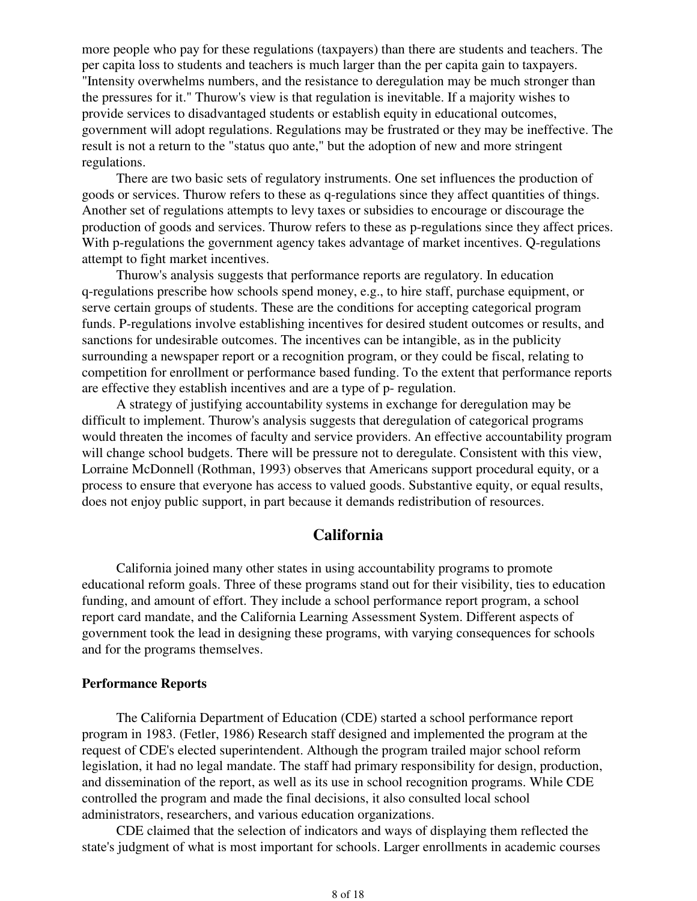more people who pay for these regulations (taxpayers) than there are students and teachers. The per capita loss to students and teachers is much larger than the per capita gain to taxpayers. "Intensity overwhelms numbers, and the resistance to deregulation may be much stronger than the pressures for it." Thurow's view is that regulation is inevitable. If a majority wishes to provide services to disadvantaged students or establish equity in educational outcomes, government will adopt regulations. Regulations may be frustrated or they may be ineffective. The result is not a return to the "status quo ante," but the adoption of new and more stringent regulations.

There are two basic sets of regulatory instruments. One set influences the production of goods or services. Thurow refers to these as q-regulations since they affect quantities of things. Another set of regulations attempts to levy taxes or subsidies to encourage or discourage the production of goods and services. Thurow refers to these as p-regulations since they affect prices. With p-regulations the government agency takes advantage of market incentives. O-regulations attempt to fight market incentives.

Thurow's analysis suggests that performance reports are regulatory. In education q-regulations prescribe how schools spend money, e.g., to hire staff, purchase equipment, or serve certain groups of students. These are the conditions for accepting categorical program funds. P-regulations involve establishing incentives for desired student outcomes or results, and sanctions for undesirable outcomes. The incentives can be intangible, as in the publicity surrounding a newspaper report or a recognition program, or they could be fiscal, relating to competition for enrollment or performance based funding. To the extent that performance reports are effective they establish incentives and are a type of p- regulation.

A strategy of justifying accountability systems in exchange for deregulation may be difficult to implement. Thurow's analysis suggests that deregulation of categorical programs would threaten the incomes of faculty and service providers. An effective accountability program will change school budgets. There will be pressure not to deregulate. Consistent with this view, Lorraine McDonnell (Rothman, 1993) observes that Americans support procedural equity, or a process to ensure that everyone has access to valued goods. Substantive equity, or equal results, does not enjoy public support, in part because it demands redistribution of resources.

# **California**

California joined many other states in using accountability programs to promote educational reform goals. Three of these programs stand out for their visibility, ties to education funding, and amount of effort. They include a school performance report program, a school report card mandate, and the California Learning Assessment System. Different aspects of government took the lead in designing these programs, with varying consequences for schools and for the programs themselves.

#### **Performance Reports**

The California Department of Education (CDE) started a school performance report program in 1983. (Fetler, 1986) Research staff designed and implemented the program at the request of CDE's elected superintendent. Although the program trailed major school reform legislation, it had no legal mandate. The staff had primary responsibility for design, production, and dissemination of the report, as well as its use in school recognition programs. While CDE controlled the program and made the final decisions, it also consulted local school administrators, researchers, and various education organizations.

CDE claimed that the selection of indicators and ways of displaying them reflected the state's judgment of what is most important for schools. Larger enrollments in academic courses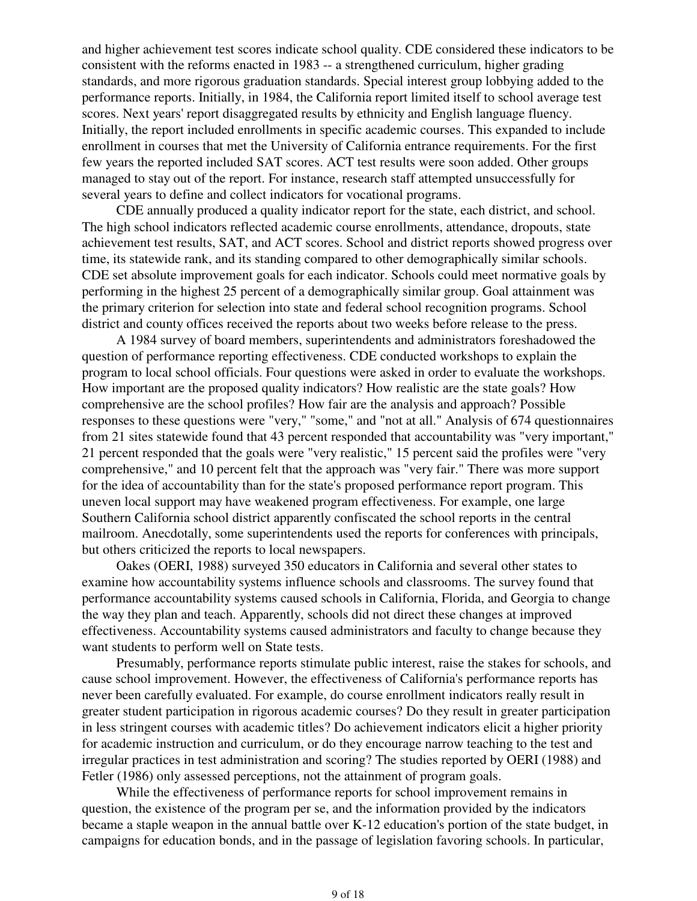and higher achievement test scores indicate school quality. CDE considered these indicators to be consistent with the reforms enacted in 1983 -- a strengthened curriculum, higher grading standards, and more rigorous graduation standards. Special interest group lobbying added to the performance reports. Initially, in 1984, the California report limited itself to school average test scores. Next years' report disaggregated results by ethnicity and English language fluency. Initially, the report included enrollments in specific academic courses. This expanded to include enrollment in courses that met the University of California entrance requirements. For the first few years the reported included SAT scores. ACT test results were soon added. Other groups managed to stay out of the report. For instance, research staff attempted unsuccessfully for several years to define and collect indicators for vocational programs.

CDE annually produced a quality indicator report for the state, each district, and school. The high school indicators reflected academic course enrollments, attendance, dropouts, state achievement test results, SAT, and ACT scores. School and district reports showed progress over time, its statewide rank, and its standing compared to other demographically similar schools. CDE set absolute improvement goals for each indicator. Schools could meet normative goals by performing in the highest 25 percent of a demographically similar group. Goal attainment was the primary criterion for selection into state and federal school recognition programs. School district and county offices received the reports about two weeks before release to the press.

A 1984 survey of board members, superintendents and administrators foreshadowed the question of performance reporting effectiveness. CDE conducted workshops to explain the program to local school officials. Four questions were asked in order to evaluate the workshops. How important are the proposed quality indicators? How realistic are the state goals? How comprehensive are the school profiles? How fair are the analysis and approach? Possible responses to these questions were "very," "some," and "not at all." Analysis of 674 questionnaires from 21 sites statewide found that 43 percent responded that accountability was "very important," 21 percent responded that the goals were "very realistic," 15 percent said the profiles were "very comprehensive," and 10 percent felt that the approach was "very fair." There was more support for the idea of accountability than for the state's proposed performance report program. This uneven local support may have weakened program effectiveness. For example, one large Southern California school district apparently confiscated the school reports in the central mailroom. Anecdotally, some superintendents used the reports for conferences with principals, but others criticized the reports to local newspapers.

Oakes (OERI, 1988) surveyed 350 educators in California and several other states to examine how accountability systems influence schools and classrooms. The survey found that performance accountability systems caused schools in California, Florida, and Georgia to change the way they plan and teach. Apparently, schools did not direct these changes at improved effectiveness. Accountability systems caused administrators and faculty to change because they want students to perform well on State tests.

Presumably, performance reports stimulate public interest, raise the stakes for schools, and cause school improvement. However, the effectiveness of California's performance reports has never been carefully evaluated. For example, do course enrollment indicators really result in greater student participation in rigorous academic courses? Do they result in greater participation in less stringent courses with academic titles? Do achievement indicators elicit a higher priority for academic instruction and curriculum, or do they encourage narrow teaching to the test and irregular practices in test administration and scoring? The studies reported by OERI (1988) and Fetler (1986) only assessed perceptions, not the attainment of program goals.

While the effectiveness of performance reports for school improvement remains in question, the existence of the program per se, and the information provided by the indicators became a staple weapon in the annual battle over K-12 education's portion of the state budget, in campaigns for education bonds, and in the passage of legislation favoring schools. In particular,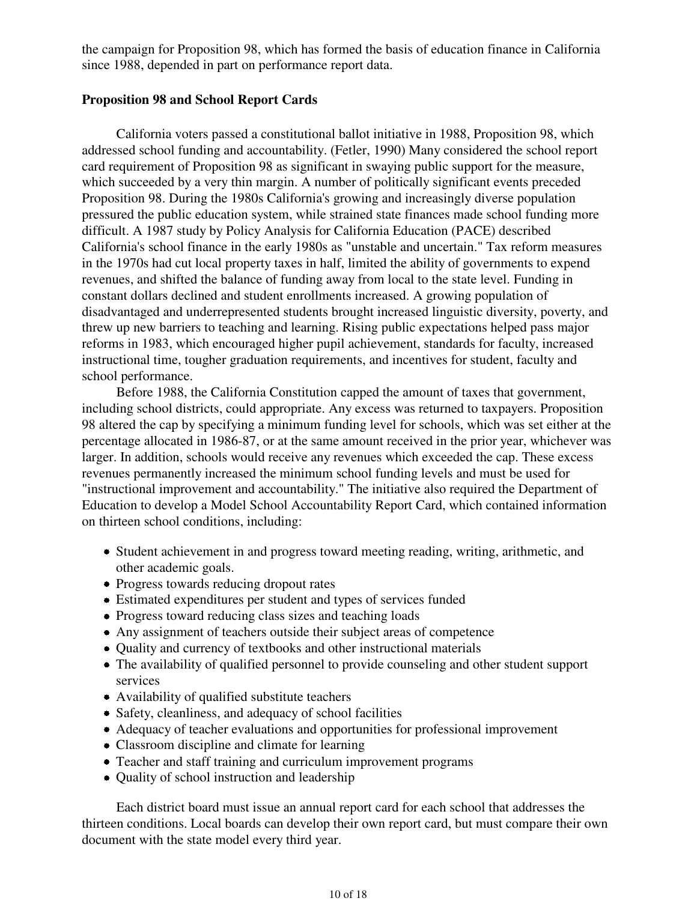the campaign for Proposition 98, which has formed the basis of education finance in California since 1988, depended in part on performance report data.

## **Proposition 98 and School Report Cards**

California voters passed a constitutional ballot initiative in 1988, Proposition 98, which addressed school funding and accountability. (Fetler, 1990) Many considered the school report card requirement of Proposition 98 as significant in swaying public support for the measure, which succeeded by a very thin margin. A number of politically significant events preceded Proposition 98. During the 1980s California's growing and increasingly diverse population pressured the public education system, while strained state finances made school funding more difficult. A 1987 study by Policy Analysis for California Education (PACE) described California's school finance in the early 1980s as "unstable and uncertain." Tax reform measures in the 1970s had cut local property taxes in half, limited the ability of governments to expend revenues, and shifted the balance of funding away from local to the state level. Funding in constant dollars declined and student enrollments increased. A growing population of disadvantaged and underrepresented students brought increased linguistic diversity, poverty, and threw up new barriers to teaching and learning. Rising public expectations helped pass major reforms in 1983, which encouraged higher pupil achievement, standards for faculty, increased instructional time, tougher graduation requirements, and incentives for student, faculty and school performance.

Before 1988, the California Constitution capped the amount of taxes that government, including school districts, could appropriate. Any excess was returned to taxpayers. Proposition 98 altered the cap by specifying a minimum funding level for schools, which was set either at the percentage allocated in 1986-87, or at the same amount received in the prior year, whichever was larger. In addition, schools would receive any revenues which exceeded the cap. These excess revenues permanently increased the minimum school funding levels and must be used for "instructional improvement and accountability." The initiative also required the Department of Education to develop a Model School Accountability Report Card, which contained information on thirteen school conditions, including:

- Student achievement in and progress toward meeting reading, writing, arithmetic, and other academic goals.
- Progress towards reducing dropout rates
- Estimated expenditures per student and types of services funded
- Progress toward reducing class sizes and teaching loads
- Any assignment of teachers outside their subject areas of competence
- Quality and currency of textbooks and other instructional materials
- The availability of qualified personnel to provide counseling and other student support services
- Availability of qualified substitute teachers
- Safety, cleanliness, and adequacy of school facilities
- Adequacy of teacher evaluations and opportunities for professional improvement
- Classroom discipline and climate for learning
- Teacher and staff training and curriculum improvement programs
- Ouality of school instruction and leadership

Each district board must issue an annual report card for each school that addresses the thirteen conditions. Local boards can develop their own report card, but must compare their own document with the state model every third year.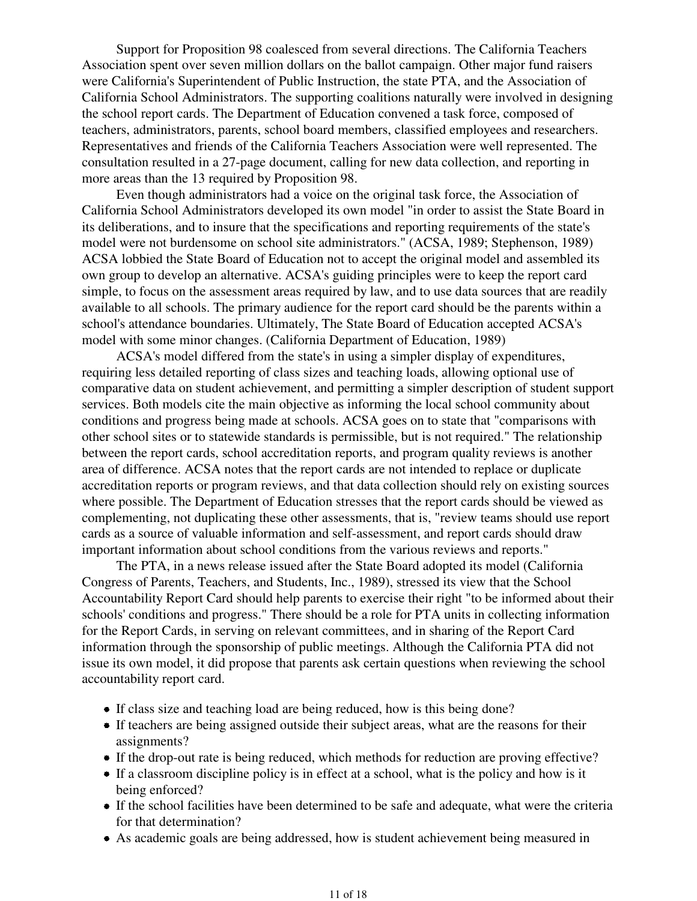Support for Proposition 98 coalesced from several directions. The California Teachers Association spent over seven million dollars on the ballot campaign. Other major fund raisers were California's Superintendent of Public Instruction, the state PTA, and the Association of California School Administrators. The supporting coalitions naturally were involved in designing the school report cards. The Department of Education convened a task force, composed of teachers, administrators, parents, school board members, classified employees and researchers. Representatives and friends of the California Teachers Association were well represented. The consultation resulted in a 27-page document, calling for new data collection, and reporting in more areas than the 13 required by Proposition 98.

Even though administrators had a voice on the original task force, the Association of California School Administrators developed its own model "in order to assist the State Board in its deliberations, and to insure that the specifications and reporting requirements of the state's model were not burdensome on school site administrators." (ACSA, 1989; Stephenson, 1989) ACSA lobbied the State Board of Education not to accept the original model and assembled its own group to develop an alternative. ACSA's guiding principles were to keep the report card simple, to focus on the assessment areas required by law, and to use data sources that are readily available to all schools. The primary audience for the report card should be the parents within a school's attendance boundaries. Ultimately, The State Board of Education accepted ACSA's model with some minor changes. (California Department of Education, 1989)

ACSA's model differed from the state's in using a simpler display of expenditures, requiring less detailed reporting of class sizes and teaching loads, allowing optional use of comparative data on student achievement, and permitting a simpler description of student support services. Both models cite the main objective as informing the local school community about conditions and progress being made at schools. ACSA goes on to state that "comparisons with other school sites or to statewide standards is permissible, but is not required." The relationship between the report cards, school accreditation reports, and program quality reviews is another area of difference. ACSA notes that the report cards are not intended to replace or duplicate accreditation reports or program reviews, and that data collection should rely on existing sources where possible. The Department of Education stresses that the report cards should be viewed as complementing, not duplicating these other assessments, that is, "review teams should use report cards as a source of valuable information and self-assessment, and report cards should draw important information about school conditions from the various reviews and reports."

The PTA, in a news release issued after the State Board adopted its model (California Congress of Parents, Teachers, and Students, Inc., 1989), stressed its view that the School Accountability Report Card should help parents to exercise their right "to be informed about their schools' conditions and progress." There should be a role for PTA units in collecting information for the Report Cards, in serving on relevant committees, and in sharing of the Report Card information through the sponsorship of public meetings. Although the California PTA did not issue its own model, it did propose that parents ask certain questions when reviewing the school accountability report card.

- If class size and teaching load are being reduced, how is this being done?
- If teachers are being assigned outside their subject areas, what are the reasons for their assignments?
- If the drop-out rate is being reduced, which methods for reduction are proving effective?
- If a classroom discipline policy is in effect at a school, what is the policy and how is it being enforced?
- If the school facilities have been determined to be safe and adequate, what were the criteria for that determination?
- As academic goals are being addressed, how is student achievement being measured in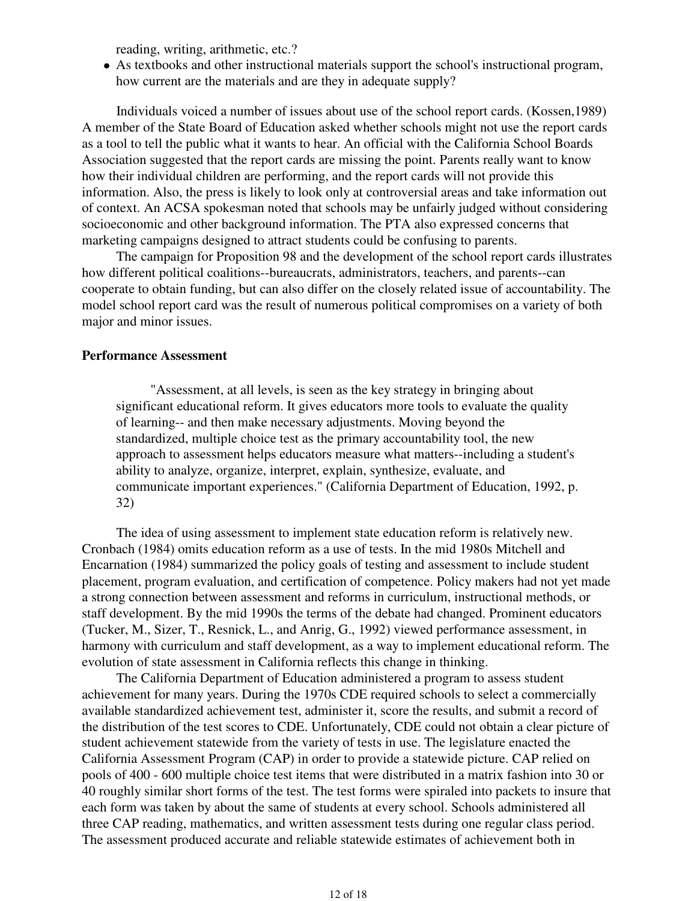reading, writing, arithmetic, etc.?

As textbooks and other instructional materials support the school's instructional program, how current are the materials and are they in adequate supply?

Individuals voiced a number of issues about use of the school report cards. (Kossen,1989) A member of the State Board of Education asked whether schools might not use the report cards as a tool to tell the public what it wants to hear. An official with the California School Boards Association suggested that the report cards are missing the point. Parents really want to know how their individual children are performing, and the report cards will not provide this information. Also, the press is likely to look only at controversial areas and take information out of context. An ACSA spokesman noted that schools may be unfairly judged without considering socioeconomic and other background information. The PTA also expressed concerns that marketing campaigns designed to attract students could be confusing to parents.

The campaign for Proposition 98 and the development of the school report cards illustrates how different political coalitions--bureaucrats, administrators, teachers, and parents--can cooperate to obtain funding, but can also differ on the closely related issue of accountability. The model school report card was the result of numerous political compromises on a variety of both major and minor issues.

#### **Performance Assessment**

"Assessment, at all levels, is seen as the key strategy in bringing about significant educational reform. It gives educators more tools to evaluate the quality of learning-- and then make necessary adjustments. Moving beyond the standardized, multiple choice test as the primary accountability tool, the new approach to assessment helps educators measure what matters--including a student's ability to analyze, organize, interpret, explain, synthesize, evaluate, and communicate important experiences." (California Department of Education, 1992, p. 32)

The idea of using assessment to implement state education reform is relatively new. Cronbach (1984) omits education reform as a use of tests. In the mid 1980s Mitchell and Encarnation (1984) summarized the policy goals of testing and assessment to include student placement, program evaluation, and certification of competence. Policy makers had not yet made a strong connection between assessment and reforms in curriculum, instructional methods, or staff development. By the mid 1990s the terms of the debate had changed. Prominent educators (Tucker, M., Sizer, T., Resnick, L., and Anrig, G., 1992) viewed performance assessment, in harmony with curriculum and staff development, as a way to implement educational reform. The evolution of state assessment in California reflects this change in thinking.

The California Department of Education administered a program to assess student achievement for many years. During the 1970s CDE required schools to select a commercially available standardized achievement test, administer it, score the results, and submit a record of the distribution of the test scores to CDE. Unfortunately, CDE could not obtain a clear picture of student achievement statewide from the variety of tests in use. The legislature enacted the California Assessment Program (CAP) in order to provide a statewide picture. CAP relied on pools of 400 - 600 multiple choice test items that were distributed in a matrix fashion into 30 or 40 roughly similar short forms of the test. The test forms were spiraled into packets to insure that each form was taken by about the same of students at every school. Schools administered all three CAP reading, mathematics, and written assessment tests during one regular class period. The assessment produced accurate and reliable statewide estimates of achievement both in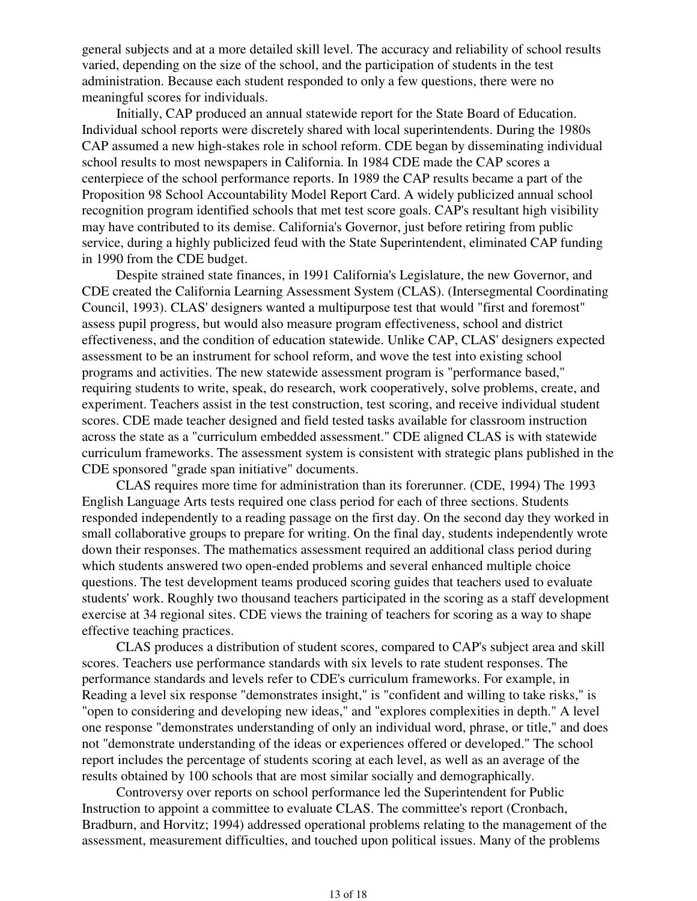general subjects and at a more detailed skill level. The accuracy and reliability of school results varied, depending on the size of the school, and the participation of students in the test administration. Because each student responded to only a few questions, there were no meaningful scores for individuals.

Initially, CAP produced an annual statewide report for the State Board of Education. Individual school reports were discretely shared with local superintendents. During the 1980s CAP assumed a new high-stakes role in school reform. CDE began by disseminating individual school results to most newspapers in California. In 1984 CDE made the CAP scores a centerpiece of the school performance reports. In 1989 the CAP results became a part of the Proposition 98 School Accountability Model Report Card. A widely publicized annual school recognition program identified schools that met test score goals. CAP's resultant high visibility may have contributed to its demise. California's Governor, just before retiring from public service, during a highly publicized feud with the State Superintendent, eliminated CAP funding in 1990 from the CDE budget.

Despite strained state finances, in 1991 California's Legislature, the new Governor, and CDE created the California Learning Assessment System (CLAS). (Intersegmental Coordinating Council, 1993). CLAS' designers wanted a multipurpose test that would "first and foremost" assess pupil progress, but would also measure program effectiveness, school and district effectiveness, and the condition of education statewide. Unlike CAP, CLAS' designers expected assessment to be an instrument for school reform, and wove the test into existing school programs and activities. The new statewide assessment program is "performance based," requiring students to write, speak, do research, work cooperatively, solve problems, create, and experiment. Teachers assist in the test construction, test scoring, and receive individual student scores. CDE made teacher designed and field tested tasks available for classroom instruction across the state as a "curriculum embedded assessment." CDE aligned CLAS is with statewide curriculum frameworks. The assessment system is consistent with strategic plans published in the CDE sponsored "grade span initiative" documents.

CLAS requires more time for administration than its forerunner. (CDE, 1994) The 1993 English Language Arts tests required one class period for each of three sections. Students responded independently to a reading passage on the first day. On the second day they worked in small collaborative groups to prepare for writing. On the final day, students independently wrote down their responses. The mathematics assessment required an additional class period during which students answered two open-ended problems and several enhanced multiple choice questions. The test development teams produced scoring guides that teachers used to evaluate students' work. Roughly two thousand teachers participated in the scoring as a staff development exercise at 34 regional sites. CDE views the training of teachers for scoring as a way to shape effective teaching practices.

CLAS produces a distribution of student scores, compared to CAP's subject area and skill scores. Teachers use performance standards with six levels to rate student responses. The performance standards and levels refer to CDE's curriculum frameworks. For example, in Reading a level six response "demonstrates insight," is "confident and willing to take risks," is "open to considering and developing new ideas," and "explores complexities in depth." A level one response "demonstrates understanding of only an individual word, phrase, or title," and does not "demonstrate understanding of the ideas or experiences offered or developed." The school report includes the percentage of students scoring at each level, as well as an average of the results obtained by 100 schools that are most similar socially and demographically.

Controversy over reports on school performance led the Superintendent for Public Instruction to appoint a committee to evaluate CLAS. The committee's report (Cronbach, Bradburn, and Horvitz; 1994) addressed operational problems relating to the management of the assessment, measurement difficulties, and touched upon political issues. Many of the problems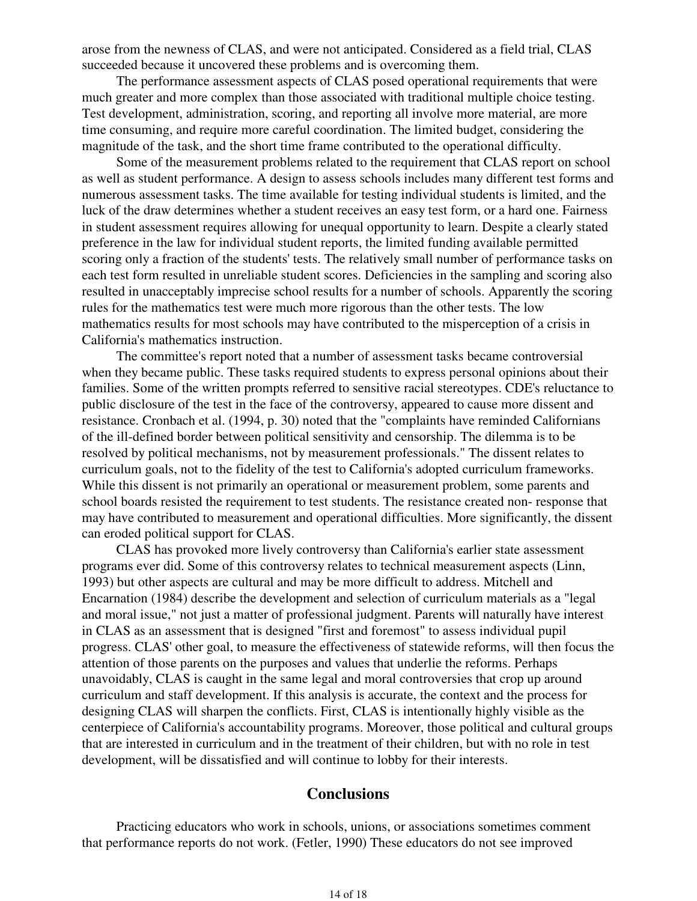arose from the newness of CLAS, and were not anticipated. Considered as a field trial, CLAS succeeded because it uncovered these problems and is overcoming them.

The performance assessment aspects of CLAS posed operational requirements that were much greater and more complex than those associated with traditional multiple choice testing. Test development, administration, scoring, and reporting all involve more material, are more time consuming, and require more careful coordination. The limited budget, considering the magnitude of the task, and the short time frame contributed to the operational difficulty.

Some of the measurement problems related to the requirement that CLAS report on school as well as student performance. A design to assess schools includes many different test forms and numerous assessment tasks. The time available for testing individual students is limited, and the luck of the draw determines whether a student receives an easy test form, or a hard one. Fairness in student assessment requires allowing for unequal opportunity to learn. Despite a clearly stated preference in the law for individual student reports, the limited funding available permitted scoring only a fraction of the students' tests. The relatively small number of performance tasks on each test form resulted in unreliable student scores. Deficiencies in the sampling and scoring also resulted in unacceptably imprecise school results for a number of schools. Apparently the scoring rules for the mathematics test were much more rigorous than the other tests. The low mathematics results for most schools may have contributed to the misperception of a crisis in California's mathematics instruction.

The committee's report noted that a number of assessment tasks became controversial when they became public. These tasks required students to express personal opinions about their families. Some of the written prompts referred to sensitive racial stereotypes. CDE's reluctance to public disclosure of the test in the face of the controversy, appeared to cause more dissent and resistance. Cronbach et al. (1994, p. 30) noted that the "complaints have reminded Californians of the ill-defined border between political sensitivity and censorship. The dilemma is to be resolved by political mechanisms, not by measurement professionals." The dissent relates to curriculum goals, not to the fidelity of the test to California's adopted curriculum frameworks. While this dissent is not primarily an operational or measurement problem, some parents and school boards resisted the requirement to test students. The resistance created non- response that may have contributed to measurement and operational difficulties. More significantly, the dissent can eroded political support for CLAS.

CLAS has provoked more lively controversy than California's earlier state assessment programs ever did. Some of this controversy relates to technical measurement aspects (Linn, 1993) but other aspects are cultural and may be more difficult to address. Mitchell and Encarnation (1984) describe the development and selection of curriculum materials as a "legal and moral issue," not just a matter of professional judgment. Parents will naturally have interest in CLAS as an assessment that is designed "first and foremost" to assess individual pupil progress. CLAS' other goal, to measure the effectiveness of statewide reforms, will then focus the attention of those parents on the purposes and values that underlie the reforms. Perhaps unavoidably, CLAS is caught in the same legal and moral controversies that crop up around curriculum and staff development. If this analysis is accurate, the context and the process for designing CLAS will sharpen the conflicts. First, CLAS is intentionally highly visible as the centerpiece of California's accountability programs. Moreover, those political and cultural groups that are interested in curriculum and in the treatment of their children, but with no role in test development, will be dissatisfied and will continue to lobby for their interests.

# **Conclusions**

Practicing educators who work in schools, unions, or associations sometimes comment that performance reports do not work. (Fetler, 1990) These educators do not see improved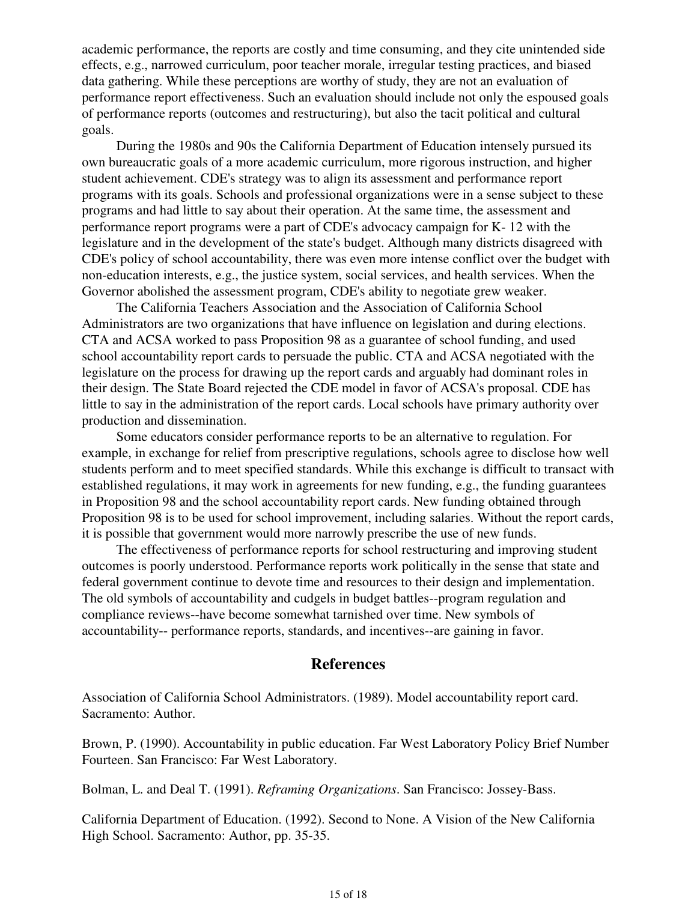academic performance, the reports are costly and time consuming, and they cite unintended side effects, e.g., narrowed curriculum, poor teacher morale, irregular testing practices, and biased data gathering. While these perceptions are worthy of study, they are not an evaluation of performance report effectiveness. Such an evaluation should include not only the espoused goals of performance reports (outcomes and restructuring), but also the tacit political and cultural goals.

During the 1980s and 90s the California Department of Education intensely pursued its own bureaucratic goals of a more academic curriculum, more rigorous instruction, and higher student achievement. CDE's strategy was to align its assessment and performance report programs with its goals. Schools and professional organizations were in a sense subject to these programs and had little to say about their operation. At the same time, the assessment and performance report programs were a part of CDE's advocacy campaign for K- 12 with the legislature and in the development of the state's budget. Although many districts disagreed with CDE's policy of school accountability, there was even more intense conflict over the budget with non-education interests, e.g., the justice system, social services, and health services. When the Governor abolished the assessment program, CDE's ability to negotiate grew weaker.

The California Teachers Association and the Association of California School Administrators are two organizations that have influence on legislation and during elections. CTA and ACSA worked to pass Proposition 98 as a guarantee of school funding, and used school accountability report cards to persuade the public. CTA and ACSA negotiated with the legislature on the process for drawing up the report cards and arguably had dominant roles in their design. The State Board rejected the CDE model in favor of ACSA's proposal. CDE has little to say in the administration of the report cards. Local schools have primary authority over production and dissemination.

Some educators consider performance reports to be an alternative to regulation. For example, in exchange for relief from prescriptive regulations, schools agree to disclose how well students perform and to meet specified standards. While this exchange is difficult to transact with established regulations, it may work in agreements for new funding, e.g., the funding guarantees in Proposition 98 and the school accountability report cards. New funding obtained through Proposition 98 is to be used for school improvement, including salaries. Without the report cards, it is possible that government would more narrowly prescribe the use of new funds.

The effectiveness of performance reports for school restructuring and improving student outcomes is poorly understood. Performance reports work politically in the sense that state and federal government continue to devote time and resources to their design and implementation. The old symbols of accountability and cudgels in budget battles--program regulation and compliance reviews--have become somewhat tarnished over time. New symbols of accountability-- performance reports, standards, and incentives--are gaining in favor.

## **References**

Association of California School Administrators. (1989). Model accountability report card. Sacramento: Author.

Brown, P. (1990). Accountability in public education. Far West Laboratory Policy Brief Number Fourteen. San Francisco: Far West Laboratory.

Bolman, L. and Deal T. (1991). *Reframing Organizations*. San Francisco: Jossey-Bass.

California Department of Education. (1992). Second to None. A Vision of the New California High School. Sacramento: Author, pp. 35-35.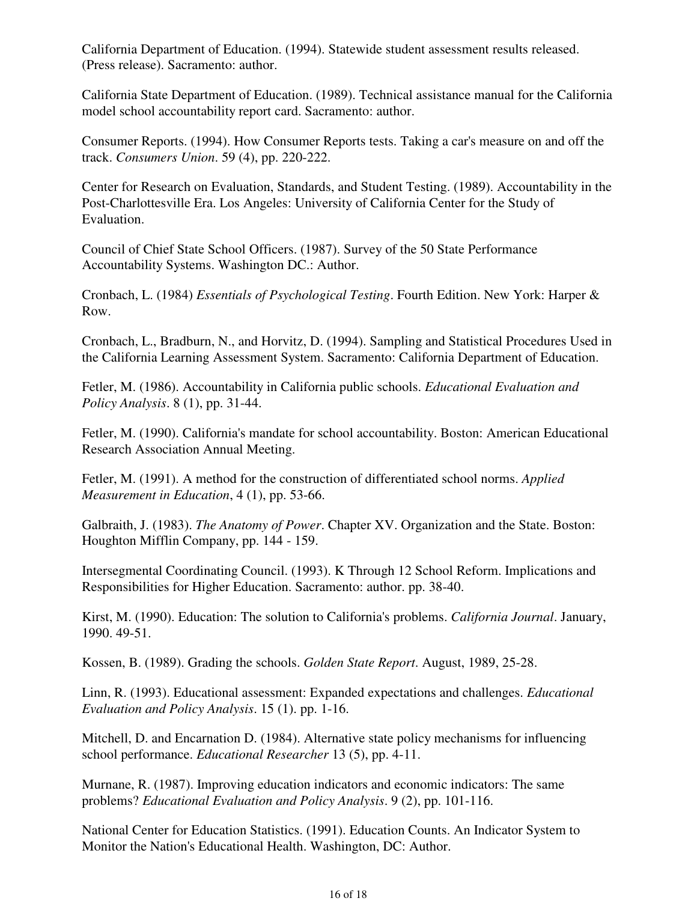California Department of Education. (1994). Statewide student assessment results released. (Press release). Sacramento: author.

California State Department of Education. (1989). Technical assistance manual for the California model school accountability report card. Sacramento: author.

Consumer Reports. (1994). How Consumer Reports tests. Taking a car's measure on and off the track. *Consumers Union*. 59 (4), pp. 220-222.

Center for Research on Evaluation, Standards, and Student Testing. (1989). Accountability in the Post-Charlottesville Era. Los Angeles: University of California Center for the Study of Evaluation.

Council of Chief State School Officers. (1987). Survey of the 50 State Performance Accountability Systems. Washington DC.: Author.

Cronbach, L. (1984) *Essentials of Psychological Testing*. Fourth Edition. New York: Harper & Row.

Cronbach, L., Bradburn, N., and Horvitz, D. (1994). Sampling and Statistical Procedures Used in the California Learning Assessment System. Sacramento: California Department of Education.

Fetler, M. (1986). Accountability in California public schools. *Educational Evaluation and Policy Analysis*. 8 (1), pp. 31-44.

Fetler, M. (1990). California's mandate for school accountability. Boston: American Educational Research Association Annual Meeting.

Fetler, M. (1991). A method for the construction of differentiated school norms. *Applied Measurement in Education*, 4 (1), pp. 53-66.

Galbraith, J. (1983). *The Anatomy of Power*. Chapter XV. Organization and the State. Boston: Houghton Mifflin Company, pp. 144 - 159.

Intersegmental Coordinating Council. (1993). K Through 12 School Reform. Implications and Responsibilities for Higher Education. Sacramento: author. pp. 38-40.

Kirst, M. (1990). Education: The solution to California's problems. *California Journal*. January, 1990. 49-51.

Kossen, B. (1989). Grading the schools. *Golden State Report*. August, 1989, 25-28.

Linn, R. (1993). Educational assessment: Expanded expectations and challenges. *Educational Evaluation and Policy Analysis*. 15 (1). pp. 1-16.

Mitchell, D. and Encarnation D. (1984). Alternative state policy mechanisms for influencing school performance. *Educational Researcher* 13 (5), pp. 4-11.

Murnane, R. (1987). Improving education indicators and economic indicators: The same problems? *Educational Evaluation and Policy Analysis*. 9 (2), pp. 101-116.

National Center for Education Statistics. (1991). Education Counts. An Indicator System to Monitor the Nation's Educational Health. Washington, DC: Author.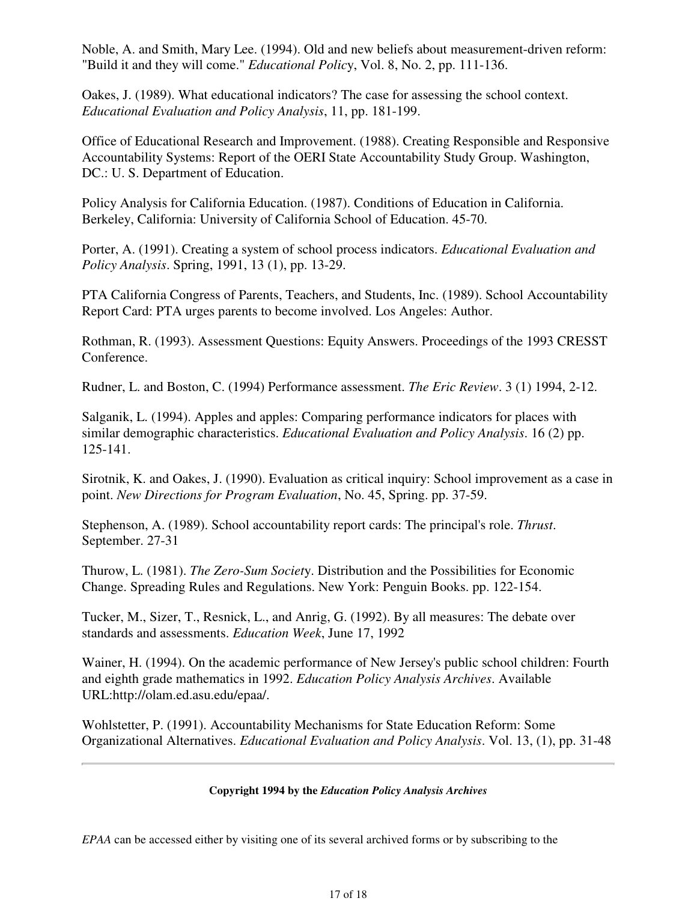Noble, A. and Smith, Mary Lee. (1994). Old and new beliefs about measurement-driven reform: "Build it and they will come." *Educational Polic*y, Vol. 8, No. 2, pp. 111-136.

Oakes, J. (1989). What educational indicators? The case for assessing the school context. *Educational Evaluation and Policy Analysis*, 11, pp. 181-199.

Office of Educational Research and Improvement. (1988). Creating Responsible and Responsive Accountability Systems: Report of the OERI State Accountability Study Group. Washington, DC.: U. S. Department of Education.

Policy Analysis for California Education. (1987). Conditions of Education in California. Berkeley, California: University of California School of Education. 45-70.

Porter, A. (1991). Creating a system of school process indicators. *Educational Evaluation and Policy Analysis*. Spring, 1991, 13 (1), pp. 13-29.

PTA California Congress of Parents, Teachers, and Students, Inc. (1989). School Accountability Report Card: PTA urges parents to become involved. Los Angeles: Author.

Rothman, R. (1993). Assessment Questions: Equity Answers. Proceedings of the 1993 CRESST Conference.

Rudner, L. and Boston, C. (1994) Performance assessment. *The Eric Review*. 3 (1) 1994, 2-12.

Salganik, L. (1994). Apples and apples: Comparing performance indicators for places with similar demographic characteristics. *Educational Evaluation and Policy Analysis*. 16 (2) pp. 125-141.

Sirotnik, K. and Oakes, J. (1990). Evaluation as critical inquiry: School improvement as a case in point. *New Directions for Program Evaluation*, No. 45, Spring. pp. 37-59.

Stephenson, A. (1989). School accountability report cards: The principal's role. *Thrust*. September. 27-31

Thurow, L. (1981). *The Zero-Sum Societ*y. Distribution and the Possibilities for Economic Change. Spreading Rules and Regulations. New York: Penguin Books. pp. 122-154.

Tucker, M., Sizer, T., Resnick, L., and Anrig, G. (1992). By all measures: The debate over standards and assessments. *Education Week*, June 17, 1992

Wainer, H. (1994). On the academic performance of New Jersey's public school children: Fourth and eighth grade mathematics in 1992. *Education Policy Analysis Archives*. Available URL:http://olam.ed.asu.edu/epaa/.

Wohlstetter, P. (1991). Accountability Mechanisms for State Education Reform: Some Organizational Alternatives. *Educational Evaluation and Policy Analysis*. Vol. 13, (1), pp. 31-48

### **Copyright 1994 by the** *Education Policy Analysis Archives*

*EPAA* can be accessed either by visiting one of its several archived forms or by subscribing to the